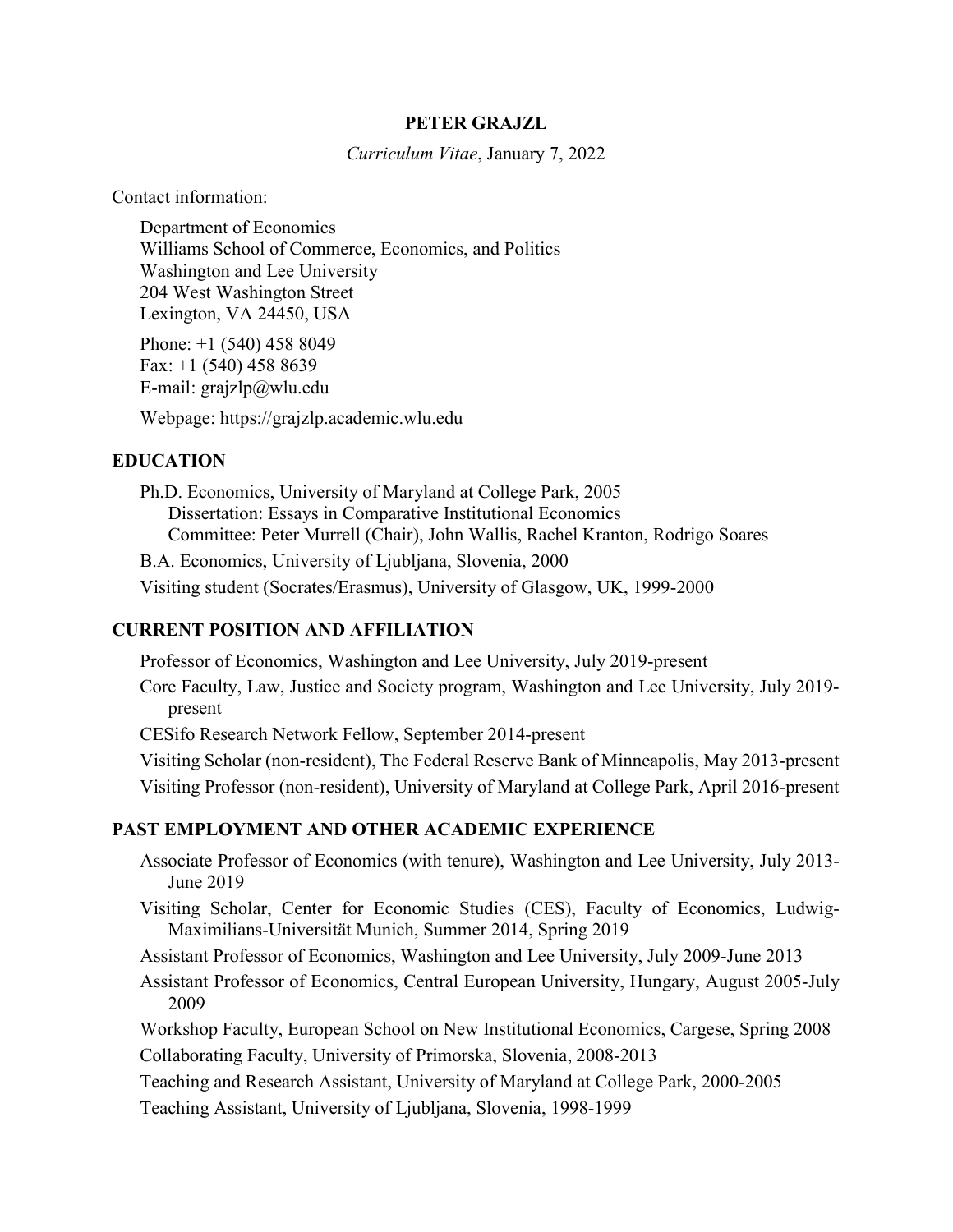## PETER GRAJZL

Curriculum Vitae, January 7, 2022

Contact information:

Department of Economics Williams School of Commerce, Economics, and Politics Washington and Lee University 204 West Washington Street Lexington, VA 24450, USA

Phone: +1 (540) 458 8049 Fax: +1 (540) 458 8639 E-mail: grajzlp@wlu.edu

Webpage: https://grajzlp.academic.wlu.edu

# EDUCATION

Ph.D. Economics, University of Maryland at College Park, 2005 Dissertation: Essays in Comparative Institutional Economics Committee: Peter Murrell (Chair), John Wallis, Rachel Kranton, Rodrigo Soares B.A. Economics, University of Ljubljana, Slovenia, 2000 Visiting student (Socrates/Erasmus), University of Glasgow, UK, 1999-2000

# CURRENT POSITION AND AFFILIATION

Professor of Economics, Washington and Lee University, July 2019-present Core Faculty, Law, Justice and Society program, Washington and Lee University, July 2019 present CESifo Research Network Fellow, September 2014-present Visiting Scholar (non-resident), The Federal Reserve Bank of Minneapolis, May 2013-present Visiting Professor (non-resident), University of Maryland at College Park, April 2016-present

# PAST EMPLOYMENT AND OTHER ACADEMIC EXPERIENCE

- Associate Professor of Economics (with tenure), Washington and Lee University, July 2013- June 2019
- Visiting Scholar, Center for Economic Studies (CES), Faculty of Economics, Ludwig-Maximilians-Universität Munich, Summer 2014, Spring 2019
- Assistant Professor of Economics, Washington and Lee University, July 2009-June 2013
- Assistant Professor of Economics, Central European University, Hungary, August 2005-July 2009

Workshop Faculty, European School on New Institutional Economics, Cargese, Spring 2008 Collaborating Faculty, University of Primorska, Slovenia, 2008-2013

Teaching and Research Assistant, University of Maryland at College Park, 2000-2005

Teaching Assistant, University of Ljubljana, Slovenia, 1998-1999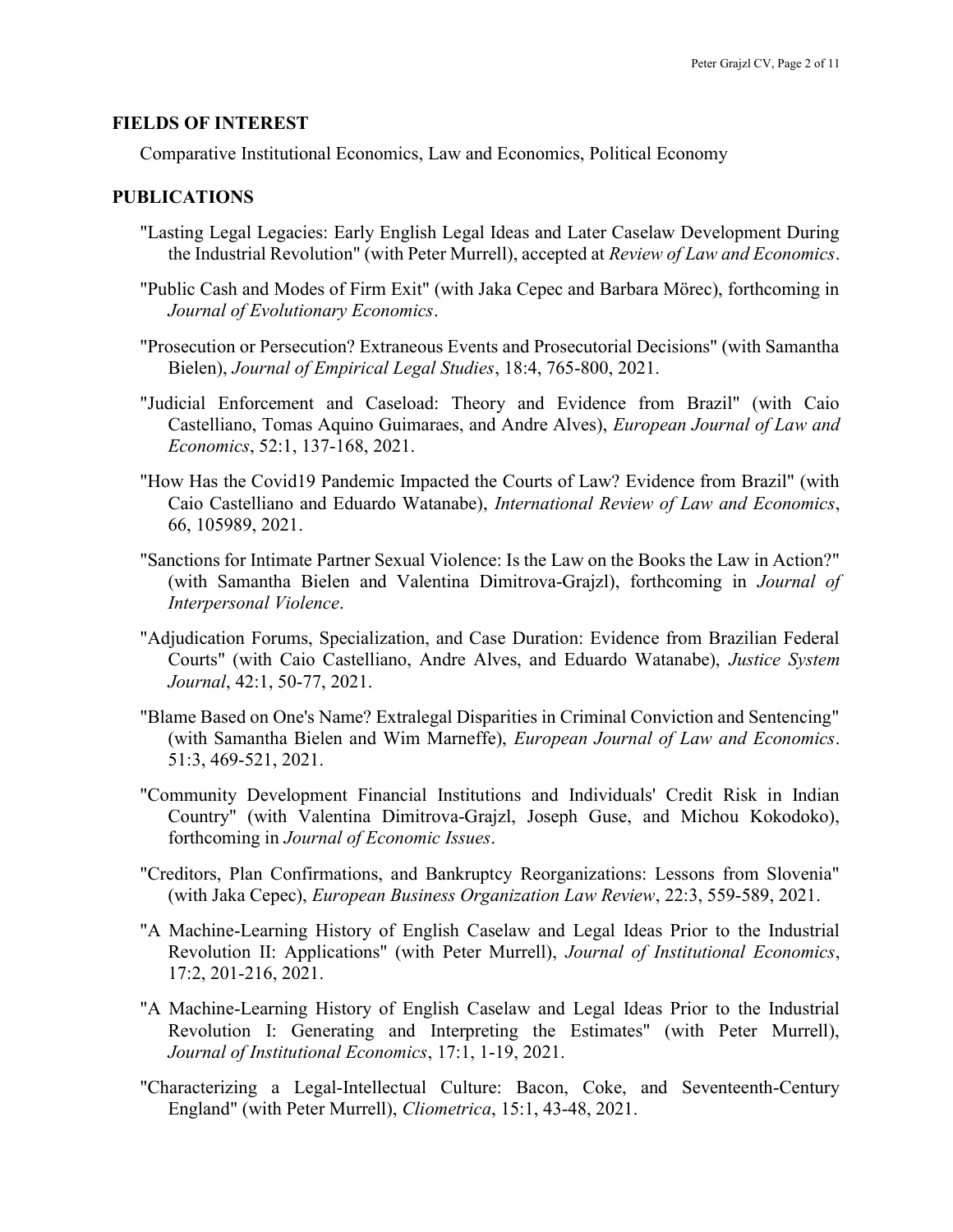#### FIELDS OF INTEREST

Comparative Institutional Economics, Law and Economics, Political Economy

# PUBLICATIONS

- "Lasting Legal Legacies: Early English Legal Ideas and Later Caselaw Development During the Industrial Revolution" (with Peter Murrell), accepted at Review of Law and Economics.
- "Public Cash and Modes of Firm Exit" (with Jaka Cepec and Barbara Mörec), forthcoming in Journal of Evolutionary Economics.
- "Prosecution or Persecution? Extraneous Events and Prosecutorial Decisions" (with Samantha Bielen), Journal of Empirical Legal Studies, 18:4, 765-800, 2021.
- "Judicial Enforcement and Caseload: Theory and Evidence from Brazil" (with Caio Castelliano, Tomas Aquino Guimaraes, and Andre Alves), European Journal of Law and Economics, 52:1, 137-168, 2021.
- "How Has the Covid19 Pandemic Impacted the Courts of Law? Evidence from Brazil" (with Caio Castelliano and Eduardo Watanabe), International Review of Law and Economics, 66, 105989, 2021.
- "Sanctions for Intimate Partner Sexual Violence: Is the Law on the Books the Law in Action?" (with Samantha Bielen and Valentina Dimitrova-Grajzl), forthcoming in Journal of Interpersonal Violence.
- "Adjudication Forums, Specialization, and Case Duration: Evidence from Brazilian Federal Courts" (with Caio Castelliano, Andre Alves, and Eduardo Watanabe), Justice System Journal, 42:1, 50-77, 2021.
- "Blame Based on One's Name? Extralegal Disparities in Criminal Conviction and Sentencing" (with Samantha Bielen and Wim Marneffe), European Journal of Law and Economics. 51:3, 469-521, 2021.
- "Community Development Financial Institutions and Individuals' Credit Risk in Indian Country" (with Valentina Dimitrova-Grajzl, Joseph Guse, and Michou Kokodoko), forthcoming in Journal of Economic Issues.
- "Creditors, Plan Confirmations, and Bankruptcy Reorganizations: Lessons from Slovenia" (with Jaka Cepec), European Business Organization Law Review, 22:3, 559-589, 2021.
- "A Machine-Learning History of English Caselaw and Legal Ideas Prior to the Industrial Revolution II: Applications" (with Peter Murrell), Journal of Institutional Economics, 17:2, 201-216, 2021.
- "A Machine-Learning History of English Caselaw and Legal Ideas Prior to the Industrial Revolution I: Generating and Interpreting the Estimates" (with Peter Murrell), Journal of Institutional Economics, 17:1, 1-19, 2021.
- "Characterizing a Legal-Intellectual Culture: Bacon, Coke, and Seventeenth-Century England" (with Peter Murrell), Cliometrica, 15:1, 43-48, 2021.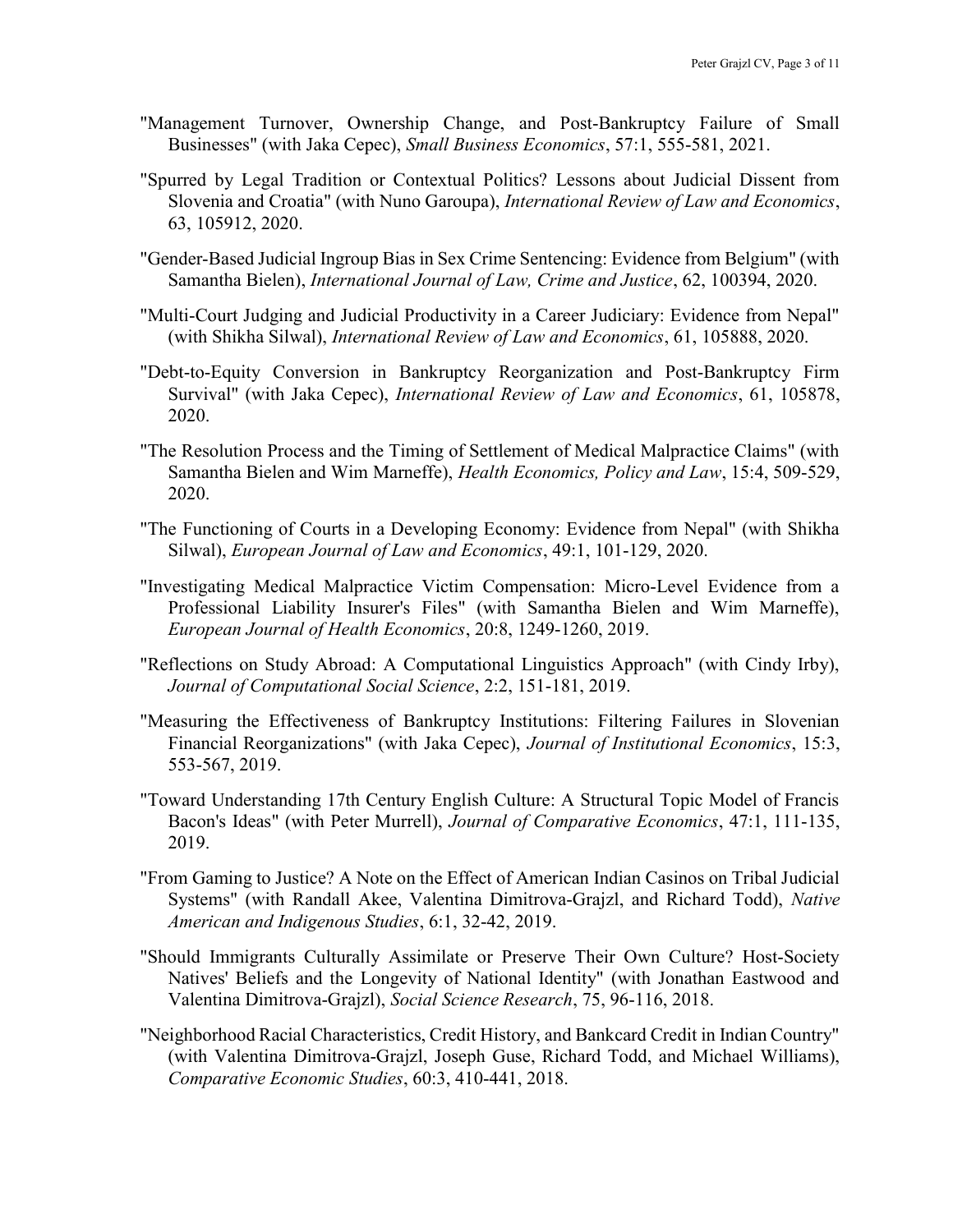- "Management Turnover, Ownership Change, and Post-Bankruptcy Failure of Small Businesses" (with Jaka Cepec), Small Business Economics, 57:1, 555-581, 2021.
- "Spurred by Legal Tradition or Contextual Politics? Lessons about Judicial Dissent from Slovenia and Croatia" (with Nuno Garoupa), International Review of Law and Economics, 63, 105912, 2020.
- "Gender-Based Judicial Ingroup Bias in Sex Crime Sentencing: Evidence from Belgium" (with Samantha Bielen), International Journal of Law, Crime and Justice, 62, 100394, 2020.
- "Multi-Court Judging and Judicial Productivity in a Career Judiciary: Evidence from Nepal" (with Shikha Silwal), International Review of Law and Economics, 61, 105888, 2020.
- "Debt-to-Equity Conversion in Bankruptcy Reorganization and Post-Bankruptcy Firm Survival" (with Jaka Cepec), International Review of Law and Economics, 61, 105878, 2020.
- "The Resolution Process and the Timing of Settlement of Medical Malpractice Claims" (with Samantha Bielen and Wim Marneffe), Health Economics, Policy and Law, 15:4, 509-529, 2020.
- "The Functioning of Courts in a Developing Economy: Evidence from Nepal" (with Shikha Silwal), European Journal of Law and Economics, 49:1, 101-129, 2020.
- "Investigating Medical Malpractice Victim Compensation: Micro-Level Evidence from a Professional Liability Insurer's Files" (with Samantha Bielen and Wim Marneffe), European Journal of Health Economics, 20:8, 1249-1260, 2019.
- "Reflections on Study Abroad: A Computational Linguistics Approach" (with Cindy Irby), Journal of Computational Social Science, 2:2, 151-181, 2019.
- "Measuring the Effectiveness of Bankruptcy Institutions: Filtering Failures in Slovenian Financial Reorganizations" (with Jaka Cepec), Journal of Institutional Economics, 15:3, 553-567, 2019.
- "Toward Understanding 17th Century English Culture: A Structural Topic Model of Francis Bacon's Ideas" (with Peter Murrell), Journal of Comparative Economics, 47:1, 111-135, 2019.
- "From Gaming to Justice? A Note on the Effect of American Indian Casinos on Tribal Judicial Systems" (with Randall Akee, Valentina Dimitrova-Grajzl, and Richard Todd), Native American and Indigenous Studies, 6:1, 32-42, 2019.
- "Should Immigrants Culturally Assimilate or Preserve Their Own Culture? Host-Society Natives' Beliefs and the Longevity of National Identity" (with Jonathan Eastwood and Valentina Dimitrova-Grajzl), Social Science Research, 75, 96-116, 2018.
- "Neighborhood Racial Characteristics, Credit History, and Bankcard Credit in Indian Country" (with Valentina Dimitrova-Grajzl, Joseph Guse, Richard Todd, and Michael Williams), Comparative Economic Studies, 60:3, 410-441, 2018.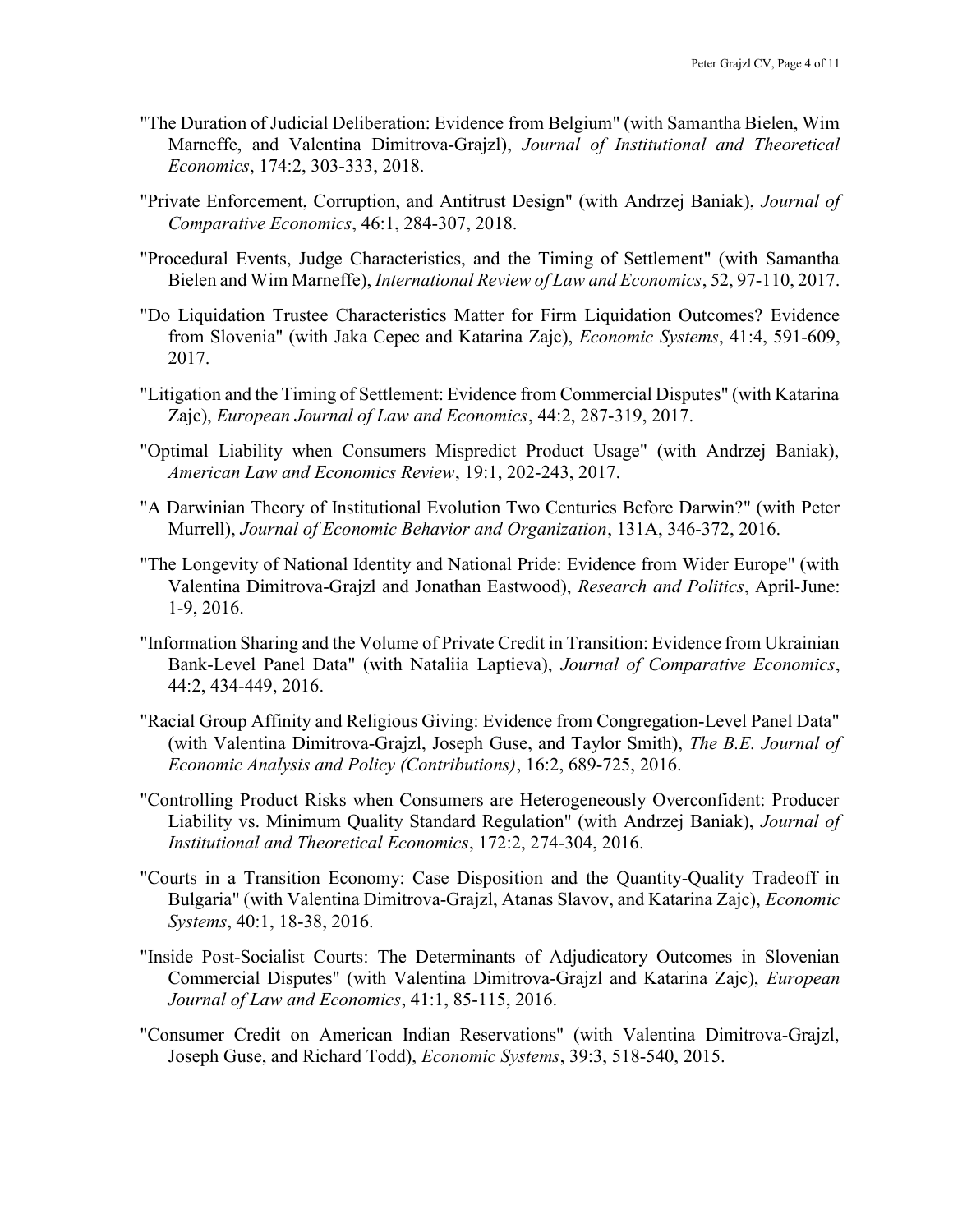- "The Duration of Judicial Deliberation: Evidence from Belgium" (with Samantha Bielen, Wim Marneffe, and Valentina Dimitrova-Grajzl), Journal of Institutional and Theoretical Economics, 174:2, 303-333, 2018.
- "Private Enforcement, Corruption, and Antitrust Design" (with Andrzej Baniak), Journal of Comparative Economics, 46:1, 284-307, 2018.
- "Procedural Events, Judge Characteristics, and the Timing of Settlement" (with Samantha Bielen and Wim Marneffe), International Review of Law and Economics, 52, 97-110, 2017.
- "Do Liquidation Trustee Characteristics Matter for Firm Liquidation Outcomes? Evidence from Slovenia" (with Jaka Cepec and Katarina Zajc), Economic Systems, 41:4, 591-609, 2017.
- "Litigation and the Timing of Settlement: Evidence from Commercial Disputes" (with Katarina Zajc), European Journal of Law and Economics, 44:2, 287-319, 2017.
- "Optimal Liability when Consumers Mispredict Product Usage" (with Andrzej Baniak), American Law and Economics Review, 19:1, 202-243, 2017.
- "A Darwinian Theory of Institutional Evolution Two Centuries Before Darwin?" (with Peter Murrell), Journal of Economic Behavior and Organization, 131A, 346-372, 2016.
- "The Longevity of National Identity and National Pride: Evidence from Wider Europe" (with Valentina Dimitrova-Grajzl and Jonathan Eastwood), Research and Politics, April-June: 1-9, 2016.
- "Information Sharing and the Volume of Private Credit in Transition: Evidence from Ukrainian Bank-Level Panel Data" (with Nataliia Laptieva), Journal of Comparative Economics, 44:2, 434-449, 2016.
- "Racial Group Affinity and Religious Giving: Evidence from Congregation-Level Panel Data" (with Valentina Dimitrova-Grajzl, Joseph Guse, and Taylor Smith), The B.E. Journal of Economic Analysis and Policy (Contributions), 16:2, 689-725, 2016.
- "Controlling Product Risks when Consumers are Heterogeneously Overconfident: Producer Liability vs. Minimum Quality Standard Regulation" (with Andrzej Baniak), Journal of Institutional and Theoretical Economics, 172:2, 274-304, 2016.
- "Courts in a Transition Economy: Case Disposition and the Quantity-Quality Tradeoff in Bulgaria" (with Valentina Dimitrova-Grajzl, Atanas Slavov, and Katarina Zajc), *Economic* Systems, 40:1, 18-38, 2016.
- "Inside Post-Socialist Courts: The Determinants of Adjudicatory Outcomes in Slovenian Commercial Disputes" (with Valentina Dimitrova-Grajzl and Katarina Zajc), European Journal of Law and Economics, 41:1, 85-115, 2016.
- "Consumer Credit on American Indian Reservations" (with Valentina Dimitrova-Grajzl, Joseph Guse, and Richard Todd), Economic Systems, 39:3, 518-540, 2015.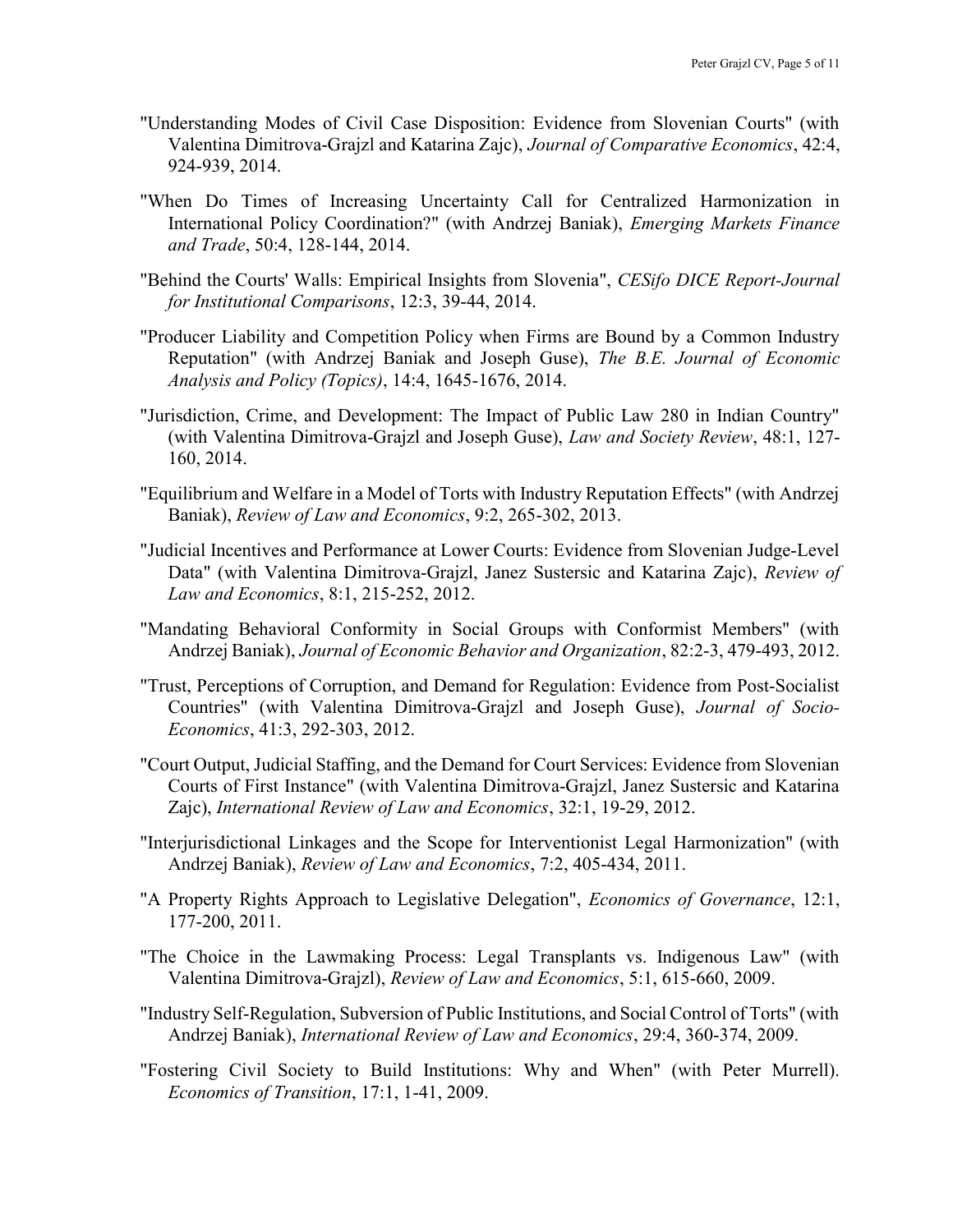- "Understanding Modes of Civil Case Disposition: Evidence from Slovenian Courts" (with Valentina Dimitrova-Grajzl and Katarina Zajc), Journal of Comparative Economics, 42:4, 924-939, 2014.
- "When Do Times of Increasing Uncertainty Call for Centralized Harmonization in International Policy Coordination?" (with Andrzej Baniak), Emerging Markets Finance and Trade, 50:4, 128-144, 2014.
- "Behind the Courts' Walls: Empirical Insights from Slovenia", CESifo DICE Report-Journal for Institutional Comparisons, 12:3, 39-44, 2014.
- "Producer Liability and Competition Policy when Firms are Bound by a Common Industry Reputation" (with Andrzej Baniak and Joseph Guse), The B.E. Journal of Economic Analysis and Policy (Topics), 14:4, 1645-1676, 2014.
- "Jurisdiction, Crime, and Development: The Impact of Public Law 280 in Indian Country" (with Valentina Dimitrova-Grajzl and Joseph Guse), Law and Society Review, 48:1, 127- 160, 2014.
- "Equilibrium and Welfare in a Model of Torts with Industry Reputation Effects" (with Andrzej Baniak), Review of Law and Economics, 9:2, 265-302, 2013.
- "Judicial Incentives and Performance at Lower Courts: Evidence from Slovenian Judge-Level Data" (with Valentina Dimitrova-Grajzl, Janez Sustersic and Katarina Zajc), Review of Law and Economics, 8:1, 215-252, 2012.
- "Mandating Behavioral Conformity in Social Groups with Conformist Members" (with Andrzej Baniak), Journal of Economic Behavior and Organization, 82:2-3, 479-493, 2012.
- "Trust, Perceptions of Corruption, and Demand for Regulation: Evidence from Post-Socialist Countries" (with Valentina Dimitrova-Grajzl and Joseph Guse), Journal of Socio-Economics, 41:3, 292-303, 2012.
- "Court Output, Judicial Staffing, and the Demand for Court Services: Evidence from Slovenian Courts of First Instance" (with Valentina Dimitrova-Grajzl, Janez Sustersic and Katarina Zajc), International Review of Law and Economics, 32:1, 19-29, 2012.
- "Interjurisdictional Linkages and the Scope for Interventionist Legal Harmonization" (with Andrzej Baniak), Review of Law and Economics, 7:2, 405-434, 2011.
- "A Property Rights Approach to Legislative Delegation", Economics of Governance, 12:1, 177-200, 2011.
- "The Choice in the Lawmaking Process: Legal Transplants vs. Indigenous Law" (with Valentina Dimitrova-Grajzl), Review of Law and Economics, 5:1, 615-660, 2009.
- "Industry Self-Regulation, Subversion of Public Institutions, and Social Control of Torts" (with Andrzej Baniak), International Review of Law and Economics, 29:4, 360-374, 2009.
- "Fostering Civil Society to Build Institutions: Why and When" (with Peter Murrell). Economics of Transition, 17:1, 1-41, 2009.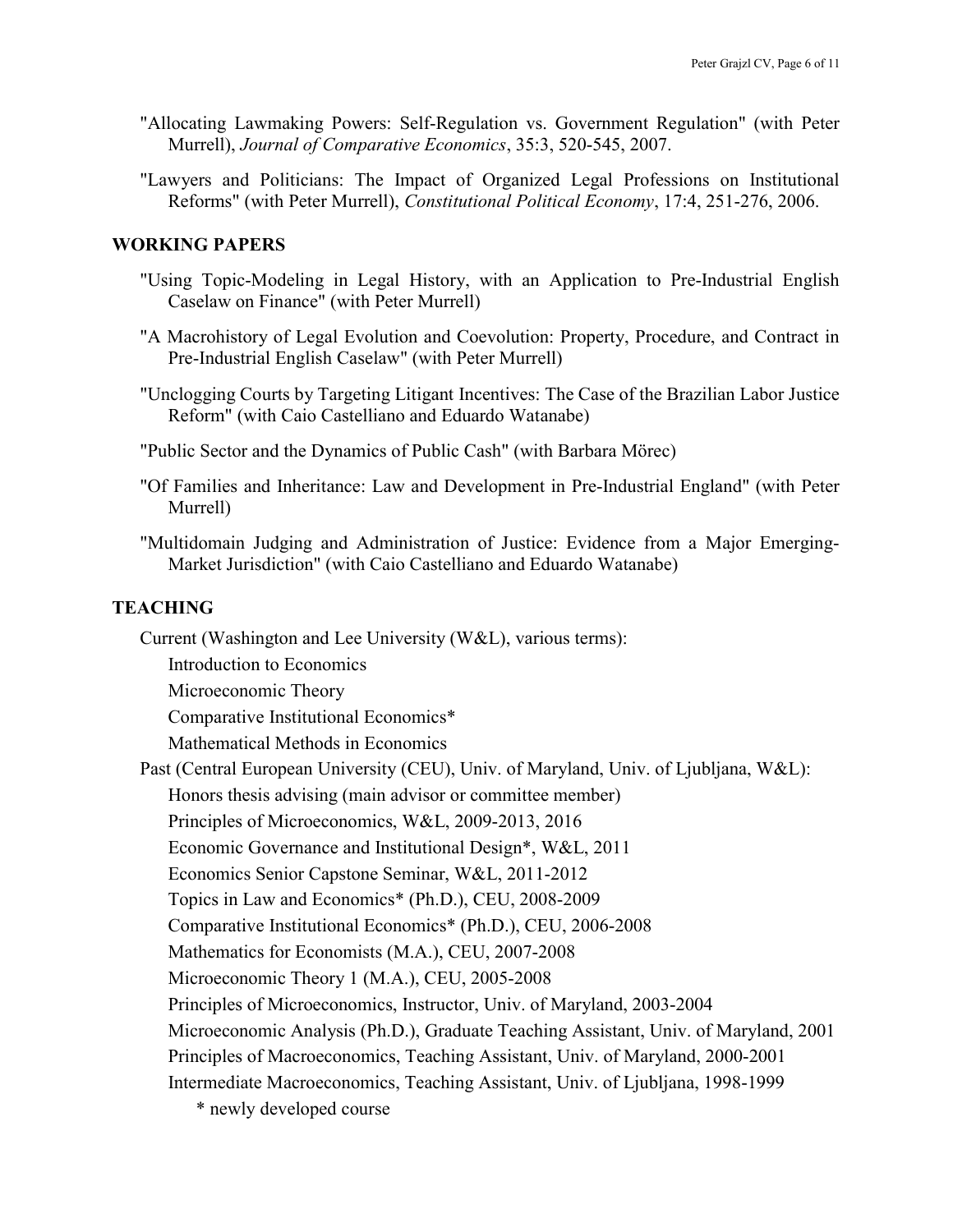- "Allocating Lawmaking Powers: Self-Regulation vs. Government Regulation" (with Peter Murrell), Journal of Comparative Economics, 35:3, 520-545, 2007.
- "Lawyers and Politicians: The Impact of Organized Legal Professions on Institutional Reforms" (with Peter Murrell), Constitutional Political Economy, 17:4, 251-276, 2006.

## WORKING PAPERS

- "Using Topic-Modeling in Legal History, with an Application to Pre-Industrial English Caselaw on Finance" (with Peter Murrell)
- "A Macrohistory of Legal Evolution and Coevolution: Property, Procedure, and Contract in Pre-Industrial English Caselaw" (with Peter Murrell)
- "Unclogging Courts by Targeting Litigant Incentives: The Case of the Brazilian Labor Justice Reform" (with Caio Castelliano and Eduardo Watanabe)
- "Public Sector and the Dynamics of Public Cash" (with Barbara Mörec)
- "Of Families and Inheritance: Law and Development in Pre-Industrial England" (with Peter Murrell)
- "Multidomain Judging and Administration of Justice: Evidence from a Major Emerging-Market Jurisdiction" (with Caio Castelliano and Eduardo Watanabe)

# **TEACHING**

Current (Washington and Lee University (W&L), various terms):

Introduction to Economics

Microeconomic Theory

Comparative Institutional Economics\*

Mathematical Methods in Economics

Past (Central European University (CEU), Univ. of Maryland, Univ. of Ljubljana, W&L):

Honors thesis advising (main advisor or committee member)

Principles of Microeconomics, W&L, 2009-2013, 2016

Economic Governance and Institutional Design\*, W&L, 2011

Economics Senior Capstone Seminar, W&L, 2011-2012

Topics in Law and Economics\* (Ph.D.), CEU, 2008-2009

Comparative Institutional Economics\* (Ph.D.), CEU, 2006-2008

Mathematics for Economists (M.A.), CEU, 2007-2008

Microeconomic Theory 1 (M.A.), CEU, 2005-2008

Principles of Microeconomics, Instructor, Univ. of Maryland, 2003-2004

Microeconomic Analysis (Ph.D.), Graduate Teaching Assistant, Univ. of Maryland, 2001

Principles of Macroeconomics, Teaching Assistant, Univ. of Maryland, 2000-2001

Intermediate Macroeconomics, Teaching Assistant, Univ. of Ljubljana, 1998-1999

\* newly developed course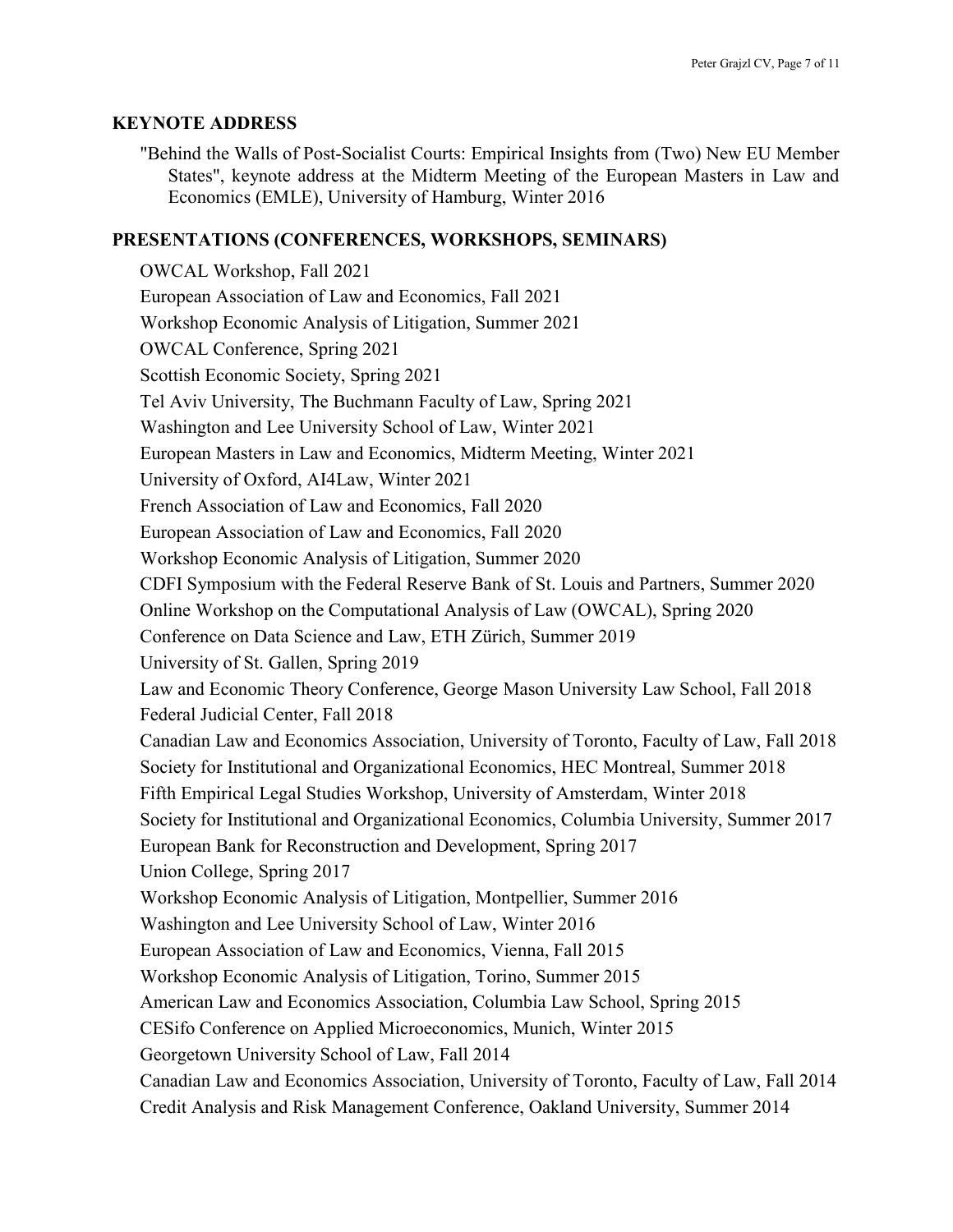### KEYNOTE ADDRESS

"Behind the Walls of Post-Socialist Courts: Empirical Insights from (Two) New EU Member States", keynote address at the Midterm Meeting of the European Masters in Law and Economics (EMLE), University of Hamburg, Winter 2016

## PRESENTATIONS (CONFERENCES, WORKSHOPS, SEMINARS)

OWCAL Workshop, Fall 2021 European Association of Law and Economics, Fall 2021 Workshop Economic Analysis of Litigation, Summer 2021 OWCAL Conference, Spring 2021 Scottish Economic Society, Spring 2021 Tel Aviv University, The Buchmann Faculty of Law, Spring 2021 Washington and Lee University School of Law, Winter 2021 European Masters in Law and Economics, Midterm Meeting, Winter 2021 University of Oxford, AI4Law, Winter 2021 French Association of Law and Economics, Fall 2020 European Association of Law and Economics, Fall 2020 Workshop Economic Analysis of Litigation, Summer 2020 CDFI Symposium with the Federal Reserve Bank of St. Louis and Partners, Summer 2020 Online Workshop on the Computational Analysis of Law (OWCAL), Spring 2020 Conference on Data Science and Law, ETH Zürich, Summer 2019 University of St. Gallen, Spring 2019 Law and Economic Theory Conference, George Mason University Law School, Fall 2018 Federal Judicial Center, Fall 2018 Canadian Law and Economics Association, University of Toronto, Faculty of Law, Fall 2018 Society for Institutional and Organizational Economics, HEC Montreal, Summer 2018 Fifth Empirical Legal Studies Workshop, University of Amsterdam, Winter 2018 Society for Institutional and Organizational Economics, Columbia University, Summer 2017 European Bank for Reconstruction and Development, Spring 2017 Union College, Spring 2017 Workshop Economic Analysis of Litigation, Montpellier, Summer 2016 Washington and Lee University School of Law, Winter 2016 European Association of Law and Economics, Vienna, Fall 2015 Workshop Economic Analysis of Litigation, Torino, Summer 2015 American Law and Economics Association, Columbia Law School, Spring 2015 CESifo Conference on Applied Microeconomics, Munich, Winter 2015 Georgetown University School of Law, Fall 2014 Canadian Law and Economics Association, University of Toronto, Faculty of Law, Fall 2014 Credit Analysis and Risk Management Conference, Oakland University, Summer 2014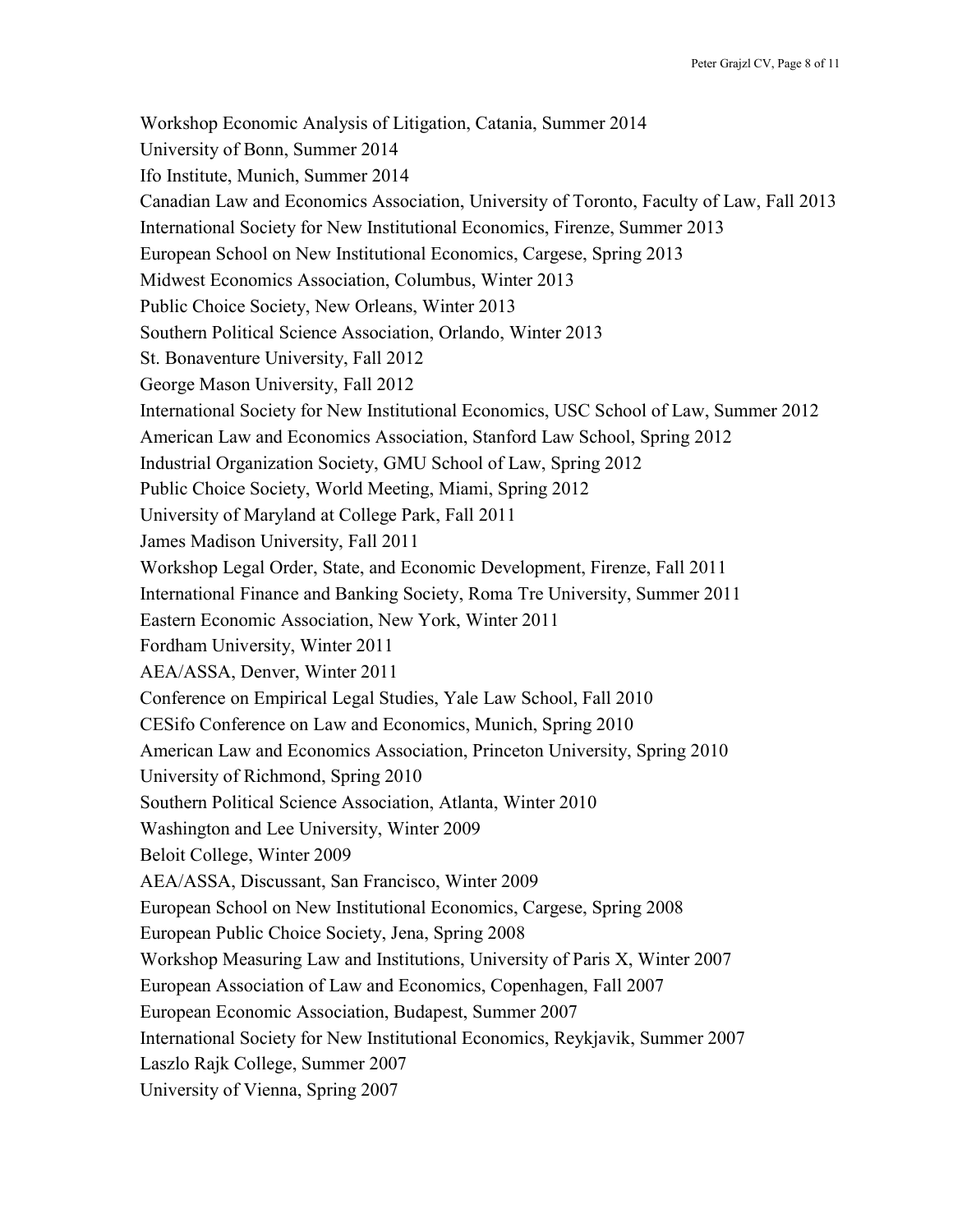Workshop Economic Analysis of Litigation, Catania, Summer 2014 University of Bonn, Summer 2014 Ifo Institute, Munich, Summer 2014 Canadian Law and Economics Association, University of Toronto, Faculty of Law, Fall 2013 International Society for New Institutional Economics, Firenze, Summer 2013 European School on New Institutional Economics, Cargese, Spring 2013 Midwest Economics Association, Columbus, Winter 2013 Public Choice Society, New Orleans, Winter 2013 Southern Political Science Association, Orlando, Winter 2013 St. Bonaventure University, Fall 2012 George Mason University, Fall 2012 International Society for New Institutional Economics, USC School of Law, Summer 2012 American Law and Economics Association, Stanford Law School, Spring 2012 Industrial Organization Society, GMU School of Law, Spring 2012 Public Choice Society, World Meeting, Miami, Spring 2012 University of Maryland at College Park, Fall 2011 James Madison University, Fall 2011 Workshop Legal Order, State, and Economic Development, Firenze, Fall 2011 International Finance and Banking Society, Roma Tre University, Summer 2011 Eastern Economic Association, New York, Winter 2011 Fordham University, Winter 2011 AEA/ASSA, Denver, Winter 2011 Conference on Empirical Legal Studies, Yale Law School, Fall 2010 CESifo Conference on Law and Economics, Munich, Spring 2010 American Law and Economics Association, Princeton University, Spring 2010 University of Richmond, Spring 2010 Southern Political Science Association, Atlanta, Winter 2010 Washington and Lee University, Winter 2009 Beloit College, Winter 2009 AEA/ASSA, Discussant, San Francisco, Winter 2009 European School on New Institutional Economics, Cargese, Spring 2008 European Public Choice Society, Jena, Spring 2008 Workshop Measuring Law and Institutions, University of Paris X, Winter 2007 European Association of Law and Economics, Copenhagen, Fall 2007 European Economic Association, Budapest, Summer 2007 International Society for New Institutional Economics, Reykjavik, Summer 2007 Laszlo Rajk College, Summer 2007 University of Vienna, Spring 2007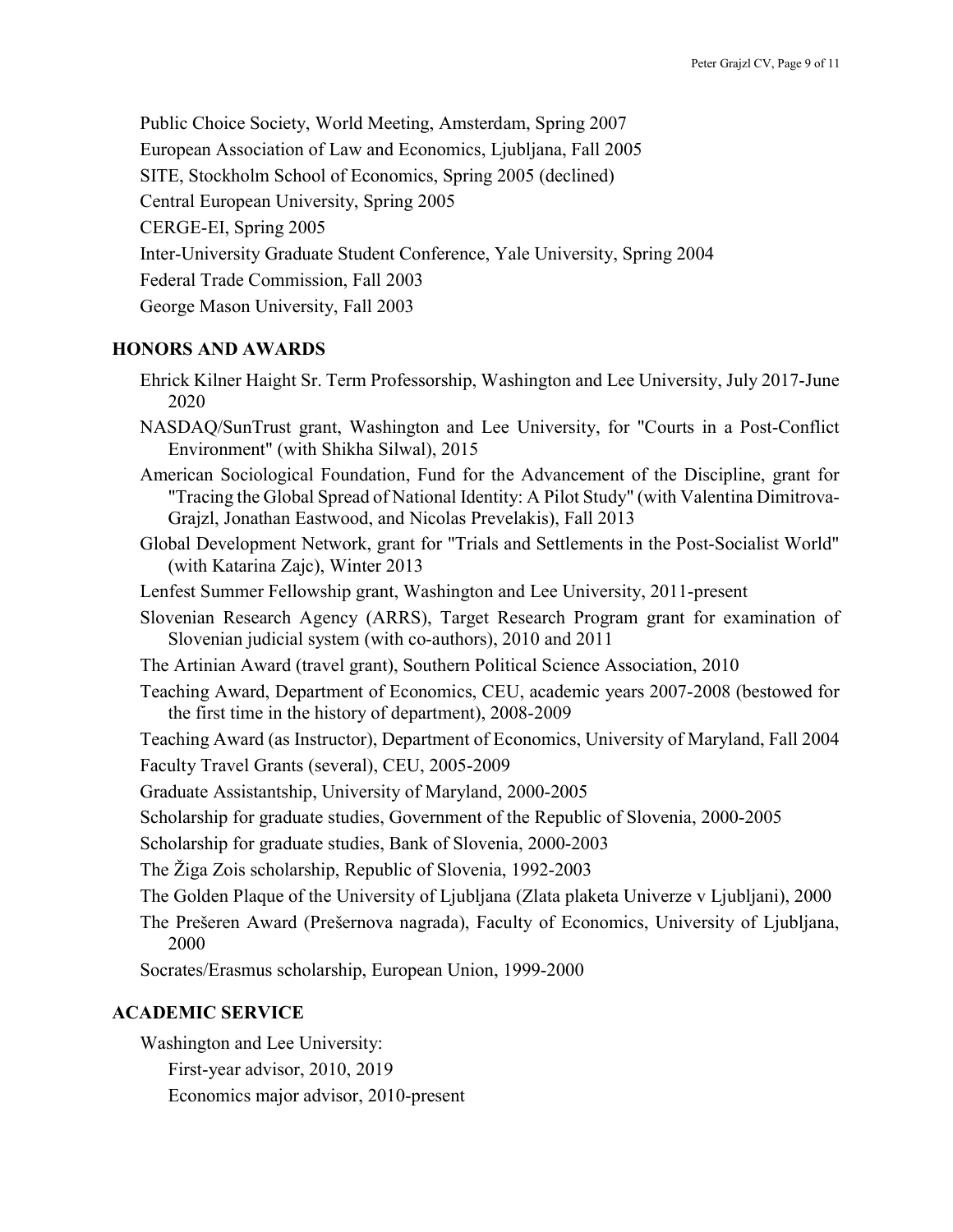Public Choice Society, World Meeting, Amsterdam, Spring 2007 European Association of Law and Economics, Ljubljana, Fall 2005 SITE, Stockholm School of Economics, Spring 2005 (declined) Central European University, Spring 2005 CERGE-EI, Spring 2005 Inter-University Graduate Student Conference, Yale University, Spring 2004 Federal Trade Commission, Fall 2003 George Mason University, Fall 2003

# HONORS AND AWARDS

- Ehrick Kilner Haight Sr. Term Professorship, Washington and Lee University, July 2017-June 2020
- NASDAQ/SunTrust grant, Washington and Lee University, for "Courts in a Post-Conflict Environment" (with Shikha Silwal), 2015
- American Sociological Foundation, Fund for the Advancement of the Discipline, grant for "Tracing the Global Spread of National Identity: A Pilot Study" (with Valentina Dimitrova-Grajzl, Jonathan Eastwood, and Nicolas Prevelakis), Fall 2013
- Global Development Network, grant for "Trials and Settlements in the Post-Socialist World" (with Katarina Zajc), Winter 2013
- Lenfest Summer Fellowship grant, Washington and Lee University, 2011-present
- Slovenian Research Agency (ARRS), Target Research Program grant for examination of Slovenian judicial system (with co-authors), 2010 and 2011
- The Artinian Award (travel grant), Southern Political Science Association, 2010
- Teaching Award, Department of Economics, CEU, academic years 2007-2008 (bestowed for the first time in the history of department), 2008-2009

Teaching Award (as Instructor), Department of Economics, University of Maryland, Fall 2004 Faculty Travel Grants (several), CEU, 2005-2009

Graduate Assistantship, University of Maryland, 2000-2005

- Scholarship for graduate studies, Government of the Republic of Slovenia, 2000-2005
- Scholarship for graduate studies, Bank of Slovenia, 2000-2003

The Žiga Zois scholarship, Republic of Slovenia, 1992-2003

The Golden Plaque of the University of Ljubljana (Zlata plaketa Univerze v Ljubljani), 2000

The Prešeren Award (Prešernova nagrada), Faculty of Economics, University of Ljubljana, 2000

Socrates/Erasmus scholarship, European Union, 1999-2000

# ACADEMIC SERVICE

Washington and Lee University: First-year advisor, 2010, 2019 Economics major advisor, 2010-present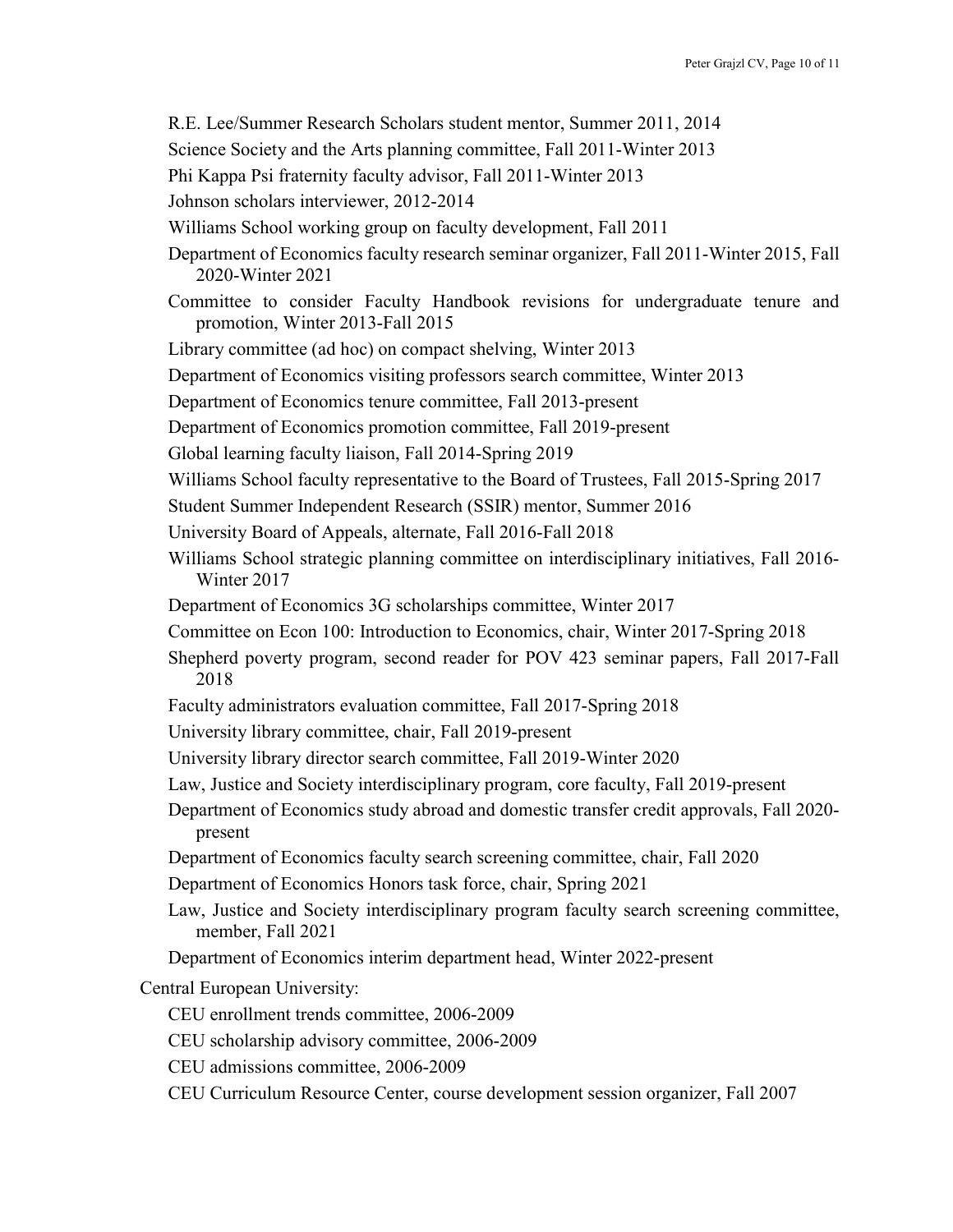- R.E. Lee/Summer Research Scholars student mentor, Summer 2011, 2014
- Science Society and the Arts planning committee, Fall 2011-Winter 2013
- Phi Kappa Psi fraternity faculty advisor, Fall 2011-Winter 2013
- Johnson scholars interviewer, 2012-2014
- Williams School working group on faculty development, Fall 2011
- Department of Economics faculty research seminar organizer, Fall 2011-Winter 2015, Fall 2020-Winter 2021
- Committee to consider Faculty Handbook revisions for undergraduate tenure and promotion, Winter 2013-Fall 2015
- Library committee (ad hoc) on compact shelving, Winter 2013
- Department of Economics visiting professors search committee, Winter 2013
- Department of Economics tenure committee, Fall 2013-present
- Department of Economics promotion committee, Fall 2019-present
- Global learning faculty liaison, Fall 2014-Spring 2019
- Williams School faculty representative to the Board of Trustees, Fall 2015-Spring 2017
- Student Summer Independent Research (SSIR) mentor, Summer 2016
- University Board of Appeals, alternate, Fall 2016-Fall 2018
- Williams School strategic planning committee on interdisciplinary initiatives, Fall 2016- Winter 2017
- Department of Economics 3G scholarships committee, Winter 2017
- Committee on Econ 100: Introduction to Economics, chair, Winter 2017-Spring 2018
- Shepherd poverty program, second reader for POV 423 seminar papers, Fall 2017-Fall 2018
- Faculty administrators evaluation committee, Fall 2017-Spring 2018
- University library committee, chair, Fall 2019-present
- University library director search committee, Fall 2019-Winter 2020
- Law, Justice and Society interdisciplinary program, core faculty, Fall 2019-present
- Department of Economics study abroad and domestic transfer credit approvals, Fall 2020 present
- Department of Economics faculty search screening committee, chair, Fall 2020
- Department of Economics Honors task force, chair, Spring 2021
- Law, Justice and Society interdisciplinary program faculty search screening committee, member, Fall 2021
- Department of Economics interim department head, Winter 2022-present

Central European University:

- CEU enrollment trends committee, 2006-2009
- CEU scholarship advisory committee, 2006-2009
- CEU admissions committee, 2006-2009
- CEU Curriculum Resource Center, course development session organizer, Fall 2007